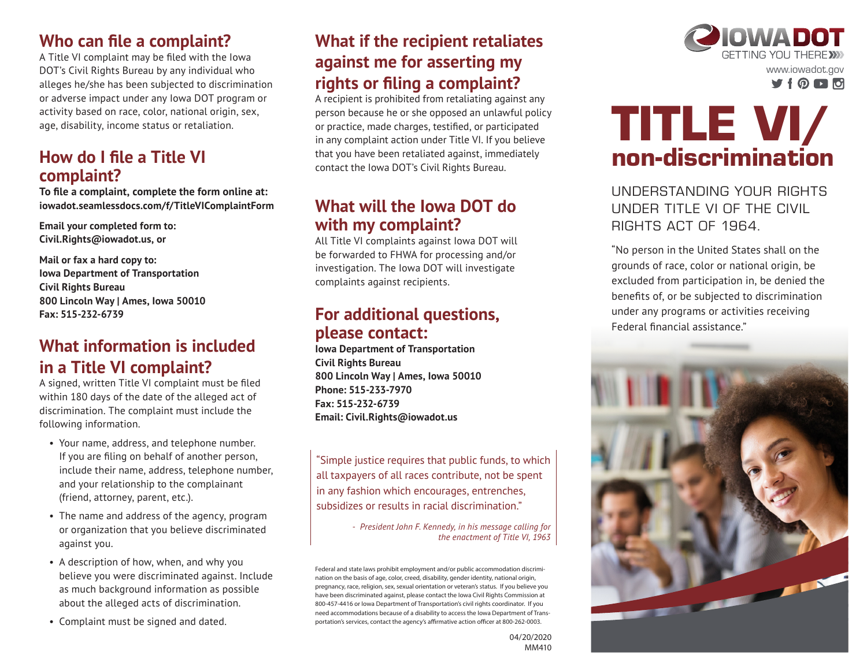### **Who can file a complaint?**

A Title VI complaint may be filed with the Iowa DOT's Civil Rights Bureau by any individual who alleges he/she has been subjected to discrimination or adverse impact under any Iowa DOT program or activity based on race, color, national origin, sex, age, disability, income status or retaliation.

#### **How do I file a Title VI complaint?**

**To file a complaint, complete the form online at: iowadot.seamlessdocs.com/f/TitleVIComplaintForm**

**Email your completed form to: Civil.Rights@iowadot.us, or**

**Mail or fax a hard copy to: Iowa Department of Transportation Civil Rights Bureau 800 Lincoln Way | Ames, Iowa 50010 Fax: 515-232-6739**

## **What information is included in a Title VI complaint?**

A signed, written Title VI complaint must be filed within 180 days of the date of the alleged act of discrimination. The complaint must include the following information.

- Your name, address, and telephone number. If you are filing on behalf of another person, include their name, address, telephone number, and your relationship to the complainant (friend, attorney, parent, etc.).
- The name and address of the agency, program or organization that you believe discriminated against you.
- A description of how, when, and why you believe you were discriminated against. Include as much background information as possible about the alleged acts of discrimination.
- Complaint must be signed and dated.

# **What if the recipient retaliates against me for asserting my rights or filing a complaint?**

A recipient is prohibited from retaliating against any person because he or she opposed an unlawful policy or practice, made charges, testified, or participated in any complaint action under Title VI. If you believe that you have been retaliated against, immediately contact the Iowa DOT's Civil Rights Bureau.

#### **What will the Iowa DOT do with my complaint?**

All Title VI complaints against Iowa DOT will be forwarded to FHWA for processing and/or investigation. The Iowa DOT will investigate complaints against recipients.

### **For additional questions, please contact:**

**Iowa Department of Transportation Civil Rights Bureau 800 Lincoln Way | Ames, Iowa 50010 Phone: 515-233-7970 Fax: 515-232-6739 Email: Civil.Rights@iowadot.us**

"Simple justice requires that public funds, to which all taxpayers of all races contribute, not be spent in any fashion which encourages, entrenches, subsidizes or results in racial discrimination."

> *- President John F. Kennedy, in his message calling for the enactment of Title VI, 1963*

Federal and state laws prohibit employment and/or public accommodation discrimination on the basis of age, color, creed, disability, gender identity, national origin, pregnancy, race, religion, sex, sexual orientation or veteran's status. If you believe you have been discriminated against, please contact the Iowa Civil Rights Commission at 800-457-4416 or Iowa Department of Transportation's civil rights coordinator. If you need accommodations because of a disability to access the Iowa Department of Transportation's services, contact the agency's affirmative action officer at 800-262-0003.



# **TITLE VI/ non-discrimination**

UNDERSTANDING YOUR RIGHTS UNDER TITLE VI OF THE CIVIL RIGHTS ACT OF 1964.

"No person in the United States shall on the grounds of race, color or national origin, be excluded from participation in, be denied the benefits of, or be subjected to discrimination under any programs or activities receiving Federal financial assistance."



04/20/2020 MM410